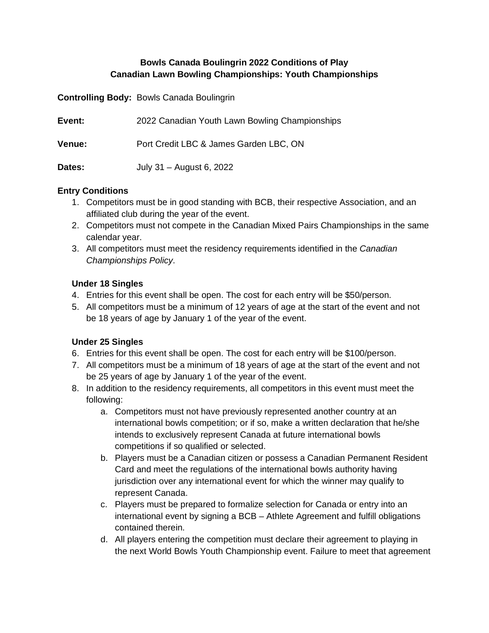## **Bowls Canada Boulingrin 2022 Conditions of Play Canadian Lawn Bowling Championships: Youth Championships**

**Controlling Body:** Bowls Canada Boulingrin

| Event:        | 2022 Canadian Youth Lawn Bowling Championships |
|---------------|------------------------------------------------|
| <b>Venue:</b> | Port Credit LBC & James Garden LBC, ON         |
| Dates:        | July 31 - August 6, 2022                       |

### **Entry Conditions**

- 1. Competitors must be in good standing with BCB, their respective Association, and an affiliated club during the year of the event.
- 2. Competitors must not compete in the Canadian Mixed Pairs Championships in the same calendar year.
- 3. All competitors must meet the residency requirements identified in the *Canadian Championships Policy*.

# **Under 18 Singles**

- 4. Entries for this event shall be open. The cost for each entry will be \$50/person.
- 5. All competitors must be a minimum of 12 years of age at the start of the event and not be 18 years of age by January 1 of the year of the event.

## **Under 25 Singles**

- 6. Entries for this event shall be open. The cost for each entry will be \$100/person.
- 7. All competitors must be a minimum of 18 years of age at the start of the event and not be 25 years of age by January 1 of the year of the event.
- 8. In addition to the residency requirements, all competitors in this event must meet the following:
	- a. Competitors must not have previously represented another country at an international bowls competition; or if so, make a written declaration that he/she intends to exclusively represent Canada at future international bowls competitions if so qualified or selected.
	- b. Players must be a Canadian citizen or possess a Canadian Permanent Resident Card and meet the regulations of the international bowls authority having jurisdiction over any international event for which the winner may qualify to represent Canada.
	- c. Players must be prepared to formalize selection for Canada or entry into an international event by signing a BCB – Athlete Agreement and fulfill obligations contained therein.
	- d. All players entering the competition must declare their agreement to playing in the next World Bowls Youth Championship event. Failure to meet that agreement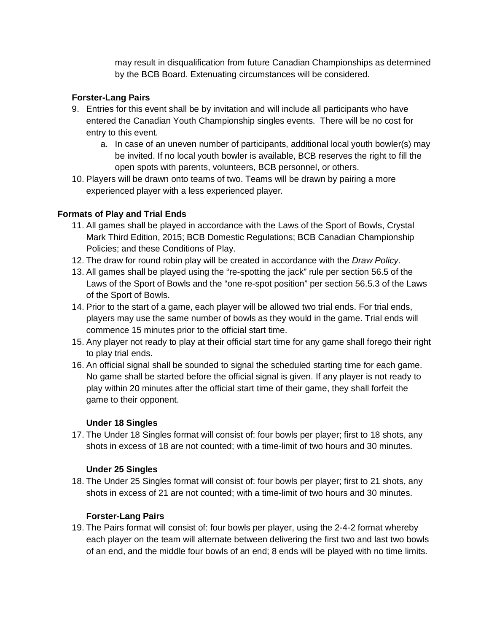may result in disqualification from future Canadian Championships as determined by the BCB Board. Extenuating circumstances will be considered.

### **Forster-Lang Pairs**

- 9. Entries for this event shall be by invitation and will include all participants who have entered the Canadian Youth Championship singles events. There will be no cost for entry to this event.
	- a. In case of an uneven number of participants, additional local youth bowler(s) may be invited. If no local youth bowler is available, BCB reserves the right to fill the open spots with parents, volunteers, BCB personnel, or others.
- 10. Players will be drawn onto teams of two. Teams will be drawn by pairing a more experienced player with a less experienced player.

### **Formats of Play and Trial Ends**

- 11. All games shall be played in accordance with the Laws of the Sport of Bowls, Crystal Mark Third Edition, 2015; BCB Domestic Regulations; BCB Canadian Championship Policies; and these Conditions of Play.
- 12. The draw for round robin play will be created in accordance with the *Draw Policy*.
- 13. All games shall be played using the "re-spotting the jack" rule per section 56.5 of the Laws of the Sport of Bowls and the "one re-spot position" per section 56.5.3 of the Laws of the Sport of Bowls.
- 14. Prior to the start of a game, each player will be allowed two trial ends. For trial ends, players may use the same number of bowls as they would in the game. Trial ends will commence 15 minutes prior to the official start time.
- 15. Any player not ready to play at their official start time for any game shall forego their right to play trial ends.
- 16. An official signal shall be sounded to signal the scheduled starting time for each game. No game shall be started before the official signal is given. If any player is not ready to play within 20 minutes after the official start time of their game, they shall forfeit the game to their opponent.

### **Under 18 Singles**

17. The Under 18 Singles format will consist of: four bowls per player; first to 18 shots, any shots in excess of 18 are not counted; with a time-limit of two hours and 30 minutes.

### **Under 25 Singles**

18. The Under 25 Singles format will consist of: four bowls per player; first to 21 shots, any shots in excess of 21 are not counted; with a time-limit of two hours and 30 minutes.

## **Forster-Lang Pairs**

19. The Pairs format will consist of: four bowls per player, using the 2-4-2 format whereby each player on the team will alternate between delivering the first two and last two bowls of an end, and the middle four bowls of an end; 8 ends will be played with no time limits.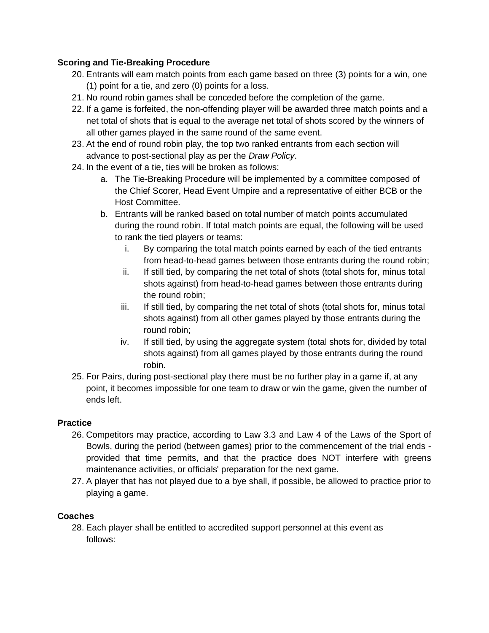### **Scoring and Tie-Breaking Procedure**

- 20. Entrants will earn match points from each game based on three (3) points for a win, one (1) point for a tie, and zero (0) points for a loss.
- 21. No round robin games shall be conceded before the completion of the game.
- 22. If a game is forfeited, the non-offending player will be awarded three match points and a net total of shots that is equal to the average net total of shots scored by the winners of all other games played in the same round of the same event.
- 23. At the end of round robin play, the top two ranked entrants from each section will advance to post-sectional play as per the *Draw Policy*.
- 24. In the event of a tie, ties will be broken as follows:
	- a. The Tie-Breaking Procedure will be implemented by a committee composed of the Chief Scorer, Head Event Umpire and a representative of either BCB or the Host Committee.
	- b. Entrants will be ranked based on total number of match points accumulated during the round robin. If total match points are equal, the following will be used to rank the tied players or teams:
		- i. By comparing the total match points earned by each of the tied entrants from head-to-head games between those entrants during the round robin;
		- ii. If still tied, by comparing the net total of shots (total shots for, minus total shots against) from head-to-head games between those entrants during the round robin;
		- iii. If still tied, by comparing the net total of shots (total shots for, minus total shots against) from all other games played by those entrants during the round robin;
		- iv. If still tied, by using the aggregate system (total shots for, divided by total shots against) from all games played by those entrants during the round robin.
- 25. For Pairs, during post-sectional play there must be no further play in a game if, at any point, it becomes impossible for one team to draw or win the game, given the number of ends left.

### **Practice**

- 26. Competitors may practice, according to Law 3.3 and Law 4 of the Laws of the Sport of Bowls, during the period (between games) prior to the commencement of the trial ends provided that time permits, and that the practice does NOT interfere with greens maintenance activities, or officials' preparation for the next game.
- 27. A player that has not played due to a bye shall, if possible, be allowed to practice prior to playing a game.

### **Coaches**

28. Each player shall be entitled to accredited support personnel at this event as follows: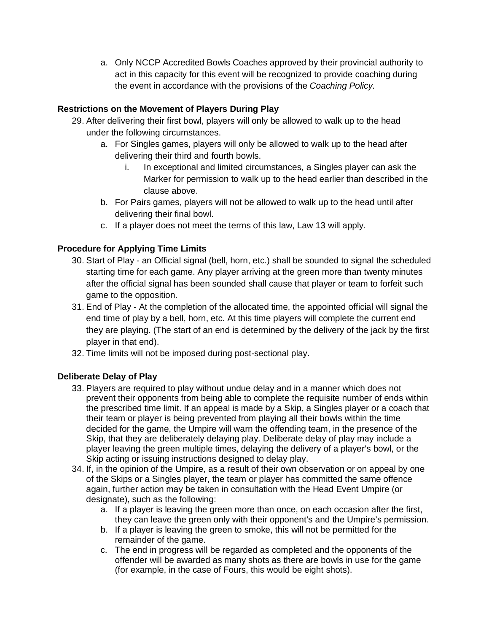a. Only NCCP Accredited Bowls Coaches approved by their provincial authority to act in this capacity for this event will be recognized to provide coaching during the event in accordance with the provisions of the *Coaching Policy.*

# **Restrictions on the Movement of Players During Play**

- 29. After delivering their first bowl, players will only be allowed to walk up to the head under the following circumstances.
	- a. For Singles games, players will only be allowed to walk up to the head after delivering their third and fourth bowls.
		- i. In exceptional and limited circumstances, a Singles player can ask the Marker for permission to walk up to the head earlier than described in the clause above.
	- b. For Pairs games, players will not be allowed to walk up to the head until after delivering their final bowl.
	- c. If a player does not meet the terms of this law, Law 13 will apply.

# **Procedure for Applying Time Limits**

- 30. Start of Play an Official signal (bell, horn, etc.) shall be sounded to signal the scheduled starting time for each game. Any player arriving at the green more than twenty minutes after the official signal has been sounded shall cause that player or team to forfeit such game to the opposition.
- 31. End of Play At the completion of the allocated time, the appointed official will signal the end time of play by a bell, horn, etc. At this time players will complete the current end they are playing. (The start of an end is determined by the delivery of the jack by the first player in that end).
- 32. Time limits will not be imposed during post-sectional play.

# **Deliberate Delay of Play**

- 33. Players are required to play without undue delay and in a manner which does not prevent their opponents from being able to complete the requisite number of ends within the prescribed time limit. If an appeal is made by a Skip, a Singles player or a coach that their team or player is being prevented from playing all their bowls within the time decided for the game, the Umpire will warn the offending team, in the presence of the Skip, that they are deliberately delaying play. Deliberate delay of play may include a player leaving the green multiple times, delaying the delivery of a player's bowl, or the Skip acting or issuing instructions designed to delay play.
- 34. If, in the opinion of the Umpire, as a result of their own observation or on appeal by one of the Skips or a Singles player, the team or player has committed the same offence again, further action may be taken in consultation with the Head Event Umpire (or designate), such as the following:
	- a. If a player is leaving the green more than once, on each occasion after the first, they can leave the green only with their opponent's and the Umpire's permission.
	- b. If a player is leaving the green to smoke, this will not be permitted for the remainder of the game.
	- c. The end in progress will be regarded as completed and the opponents of the offender will be awarded as many shots as there are bowls in use for the game (for example, in the case of Fours, this would be eight shots).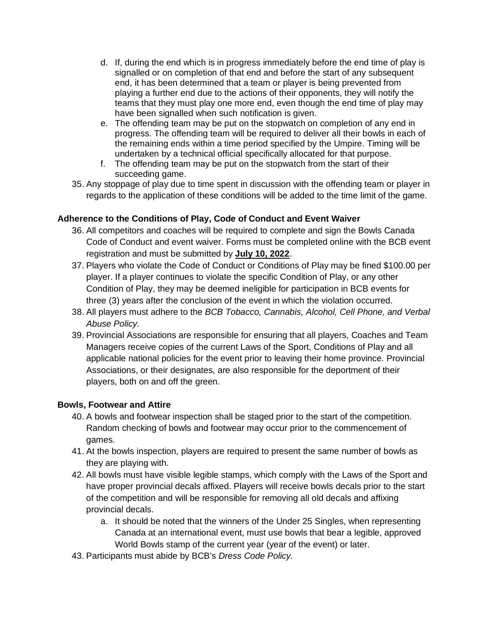- d. If, during the end which is in progress immediately before the end time of play is signalled or on completion of that end and before the start of any subsequent end, it has been determined that a team or player is being prevented from playing a further end due to the actions of their opponents, they will notify the teams that they must play one more end, even though the end time of play may have been signalled when such notification is given.
- e. The offending team may be put on the stopwatch on completion of any end in progress. The offending team will be required to deliver all their bowls in each of the remaining ends within a time period specified by the Umpire. Timing will be undertaken by a technical official specifically allocated for that purpose.
- f. The offending team may be put on the stopwatch from the start of their succeeding game.
- 35. Any stoppage of play due to time spent in discussion with the offending team or player in regards to the application of these conditions will be added to the time limit of the game.

# **Adherence to the Conditions of Play, Code of Conduct and Event Waiver**

- 36. All competitors and coaches will be required to complete and sign the Bowls Canada Code of Conduct and event waiver. Forms must be completed online with the BCB event registration and must be submitted by **July 10, 2022**.
- 37. Players who violate the Code of Conduct or Conditions of Play may be fined \$100.00 per player. If a player continues to violate the specific Condition of Play, or any other Condition of Play, they may be deemed ineligible for participation in BCB events for three (3) years after the conclusion of the event in which the violation occurred.
- 38. All players must adhere to the *BCB Tobacco, Cannabis, Alcohol, Cell Phone, and Verbal Abuse Policy.*
- 39. Provincial Associations are responsible for ensuring that all players, Coaches and Team Managers receive copies of the current Laws of the Sport, Conditions of Play and all applicable national policies for the event prior to leaving their home province. Provincial Associations, or their designates, are also responsible for the deportment of their players, both on and off the green.

## **Bowls, Footwear and Attire**

- 40. A bowls and footwear inspection shall be staged prior to the start of the competition. Random checking of bowls and footwear may occur prior to the commencement of games.
- 41. At the bowls inspection, players are required to present the same number of bowls as they are playing with.
- 42. All bowls must have visible legible stamps, which comply with the Laws of the Sport and have proper provincial decals affixed. Players will receive bowls decals prior to the start of the competition and will be responsible for removing all old decals and affixing provincial decals.
	- a. It should be noted that the winners of the Under 25 Singles, when representing Canada at an international event, must use bowls that bear a legible, approved World Bowls stamp of the current year (year of the event) or later.
- 43. Participants must abide by BCB's *Dress Code Policy.*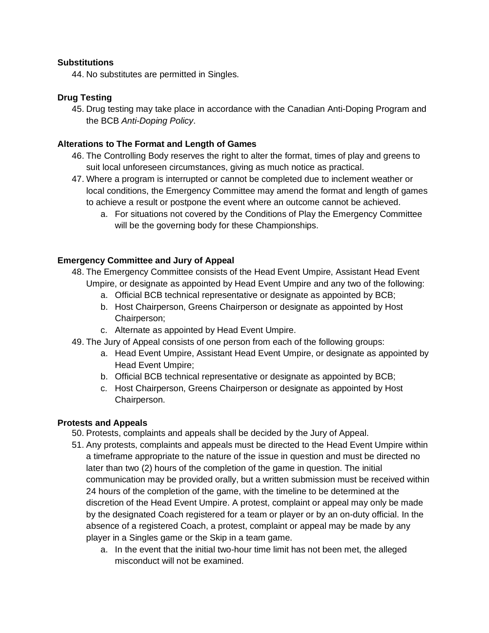### **Substitutions**

44. No substitutes are permitted in Singles.

## **Drug Testing**

45. Drug testing may take place in accordance with the Canadian Anti-Doping Program and the BCB *Anti-Doping Policy*.

## **Alterations to The Format and Length of Games**

- 46. The Controlling Body reserves the right to alter the format, times of play and greens to suit local unforeseen circumstances, giving as much notice as practical.
- 47. Where a program is interrupted or cannot be completed due to inclement weather or local conditions, the Emergency Committee may amend the format and length of games to achieve a result or postpone the event where an outcome cannot be achieved.
	- a. For situations not covered by the Conditions of Play the Emergency Committee will be the governing body for these Championships.

## **Emergency Committee and Jury of Appeal**

- 48. The Emergency Committee consists of the Head Event Umpire, Assistant Head Event Umpire, or designate as appointed by Head Event Umpire and any two of the following:
	- a. Official BCB technical representative or designate as appointed by BCB;
	- b. Host Chairperson, Greens Chairperson or designate as appointed by Host Chairperson;
	- c. Alternate as appointed by Head Event Umpire.
- 49. The Jury of Appeal consists of one person from each of the following groups:
	- a. Head Event Umpire, Assistant Head Event Umpire, or designate as appointed by Head Event Umpire;
	- b. Official BCB technical representative or designate as appointed by BCB;
	- c. Host Chairperson, Greens Chairperson or designate as appointed by Host Chairperson.

## **Protests and Appeals**

50. Protests, complaints and appeals shall be decided by the Jury of Appeal.

- 51. Any protests, complaints and appeals must be directed to the Head Event Umpire within a timeframe appropriate to the nature of the issue in question and must be directed no later than two (2) hours of the completion of the game in question. The initial communication may be provided orally, but a written submission must be received within 24 hours of the completion of the game, with the timeline to be determined at the discretion of the Head Event Umpire. A protest, complaint or appeal may only be made by the designated Coach registered for a team or player or by an on-duty official. In the absence of a registered Coach, a protest, complaint or appeal may be made by any player in a Singles game or the Skip in a team game.
	- a. In the event that the initial two-hour time limit has not been met, the alleged misconduct will not be examined.